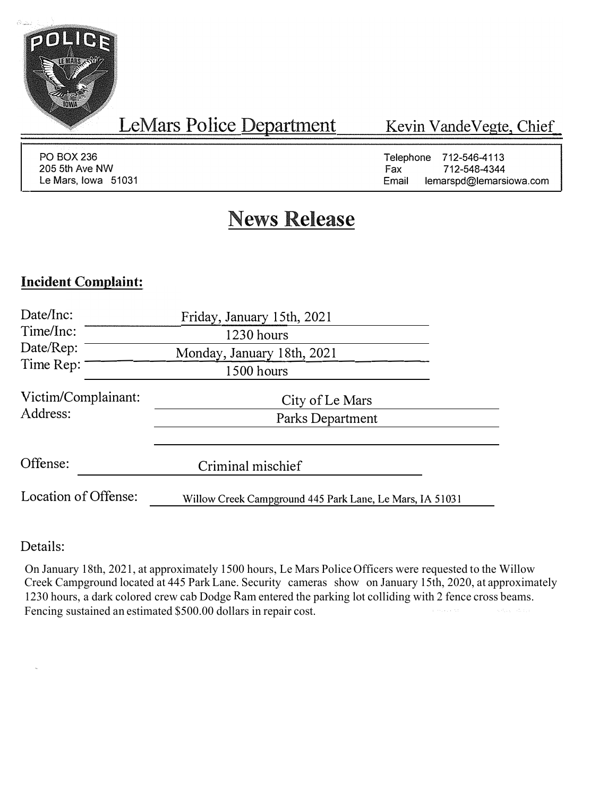

LeMars Police Department

Kevin Vande Vegte, Chief

PO BOX236 205 5th Ave NW Le Mars, Iowa 51031 Telephone 712-546-4113<br>Fax 712-548-4344 712-548-4344 Email lemarspd@lemarsiowa.com

# **News Release**

## **Incident Complaint:**

| Date/Inc:                               | Friday, January 15th, 2021                               |  |
|-----------------------------------------|----------------------------------------------------------|--|
| Time/Inc:                               | 1230 hours                                               |  |
| Date/Rep:<br>Monday, January 18th, 2021 |                                                          |  |
| Time Rep:<br>1500 hours                 |                                                          |  |
| Victim/Complainant:                     | City of Le Mars                                          |  |
| Address:                                | Parks Department                                         |  |
| Offense:                                | Criminal mischief                                        |  |
|                                         |                                                          |  |
| Location of Offense:                    | Willow Creek Campground 445 Park Lane, Le Mars, IA 51031 |  |

### Details:

On January 18th, 2021, at approximately 1500 hours, Le Mars Police Officers were requested to the Willow Creek Campground located at 445 Park Lane. Security cameras show on January 15th, 2020, at approximately 1230 hours, a dark colored crew cab Dodge Ram entered the parking lot colliding with 2 fence cross beams. Fencing sustained an estimated \$500.00 dollars in repair cost.a social con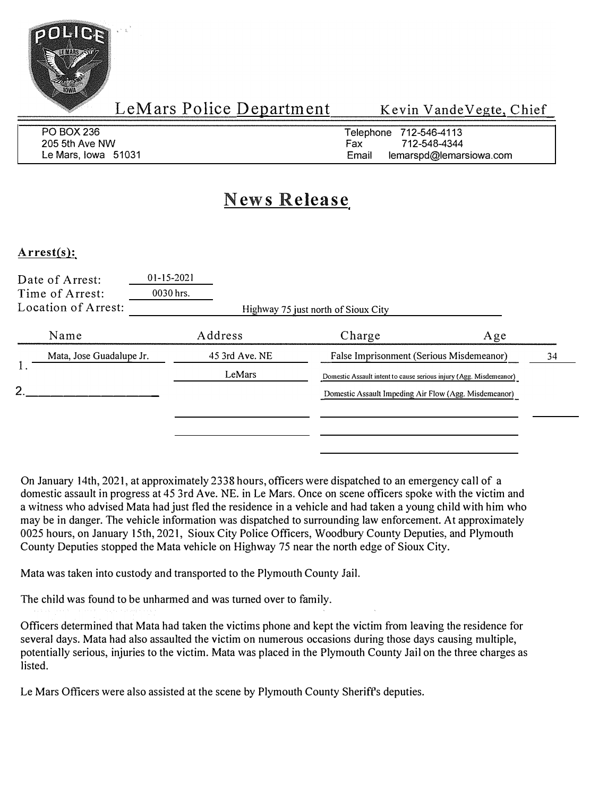

| PO BOX 236          | Telephone 712-546-4113           |
|---------------------|----------------------------------|
| 205 5th Ave NW      | 712-548-4344<br>Fax              |
| Le Mars, Iowa 51031 | lemarspd@lemarsiowa.com<br>Email |

## **News Release**

#### **Arrest(s):**

| Address                  | Charge                        | Age                                                                                                                                                                                                                              |
|--------------------------|-------------------------------|----------------------------------------------------------------------------------------------------------------------------------------------------------------------------------------------------------------------------------|
|                          |                               | 34                                                                                                                                                                                                                               |
| LeMars                   |                               |                                                                                                                                                                                                                                  |
|                          |                               |                                                                                                                                                                                                                                  |
|                          |                               |                                                                                                                                                                                                                                  |
| Mata, Jose Guadalupe Jr. | $01 - 15 - 2021$<br>0030 hrs. | Highway 75 just north of Sioux City<br>45 3rd Ave. NE<br>False Imprisonment (Serious Misdemeanor)<br>Domestic Assault intent to cause serious injury (Agg. Misdemeanor)<br>Domestic Assault Impeding Air Flow (Agg. Misdemeanor) |

On January 14th, 2021, at approximately 2338 hours, officers were dispatched to an emergency call of a domestic assault in progress at 45 3rd Ave. NE. in Le Mars. Once on scene officers spoke with the victim and a witness who advised Mata had just fled the residence in a vehicle and had taken a young child with him who may be in danger. The vehicle information was dispatched to surrounding law enforcement. At approximately 0025 hours, on January 15th, 2021, Sioux City Police Officers, Woodbury County Deputies, and Plymouth County Deputies stopped the Mata vehicle on Highway 75 near the north edge of Sioux City.

Mata was taken into custody and transported to the Plymouth County Jail.

The child was found to be unharmed and was turned over to family.

Officers determined that Mata had taken the victims phone and kept the victim from leaving the residence for several days. Mata had also assaulted the victim on numerous occasions during those days causing multiple, potentially serious, injuries to the victim. Mata was placed in the Plymouth County Jail on the three charges as listed.

Le Mars Officers were also assisted at the scene by Plymouth County Sheriffs deputies.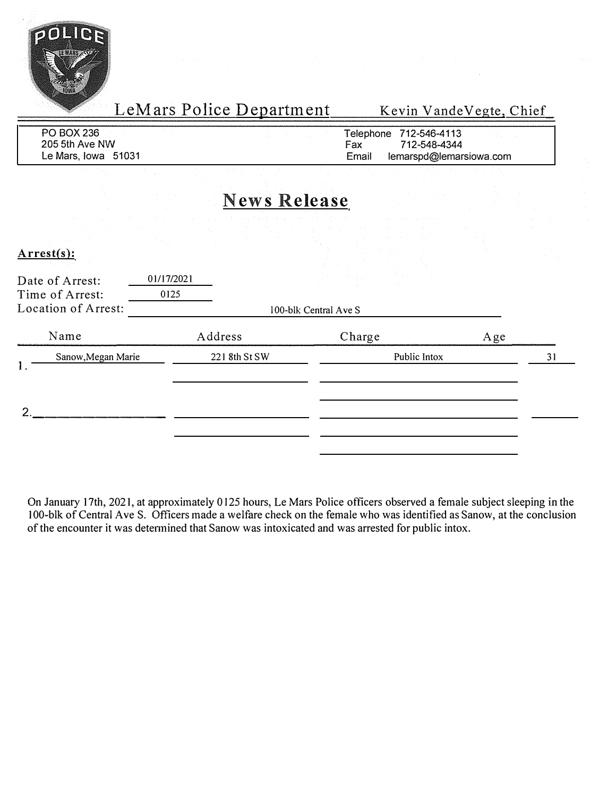

| PO BOX 236          | Telephone 712-546-4113           |
|---------------------|----------------------------------|
| 205 5th Ave NW      | 712-548-4344<br>Fax              |
| Le Mars, Iowa 51031 | Email<br>lemarspd@lemarsiowa.com |

## **News Release**

**Arrest(s):** 

| Date of Arrest:<br>Time of Arrest:<br>Location of Arrest: | $\mathcal{L}^{\text{max}}_{\text{max}}$ and the second contribution of the second contribution of the second contribution of the second contribution of the second contribution of the second contribution of the second contribution of the sec<br>01/17/2021<br>the control of the control of the control<br>0125<br>100-blk Central Ave S |              |     |    |
|-----------------------------------------------------------|----------------------------------------------------------------------------------------------------------------------------------------------------------------------------------------------------------------------------------------------------------------------------------------------------------------------------------------------|--------------|-----|----|
| Name                                                      | Address                                                                                                                                                                                                                                                                                                                                      | Charge       | Age |    |
| Sanow, Megan Marie<br>1.                                  | 221 8th St SW                                                                                                                                                                                                                                                                                                                                | Public Intox |     | 31 |
| ∍                                                         |                                                                                                                                                                                                                                                                                                                                              |              |     |    |

On January 17th, 2021, at approximately 0 125 hours, Le Mars Police officers observed a female subject sleeping in the 100-blk of Central Ave S. Officers made a welfare check on the female who was identified as Sanow, at the conclusion of the encounter it was determined that Sanow was intoxicated and was arrested for public intox.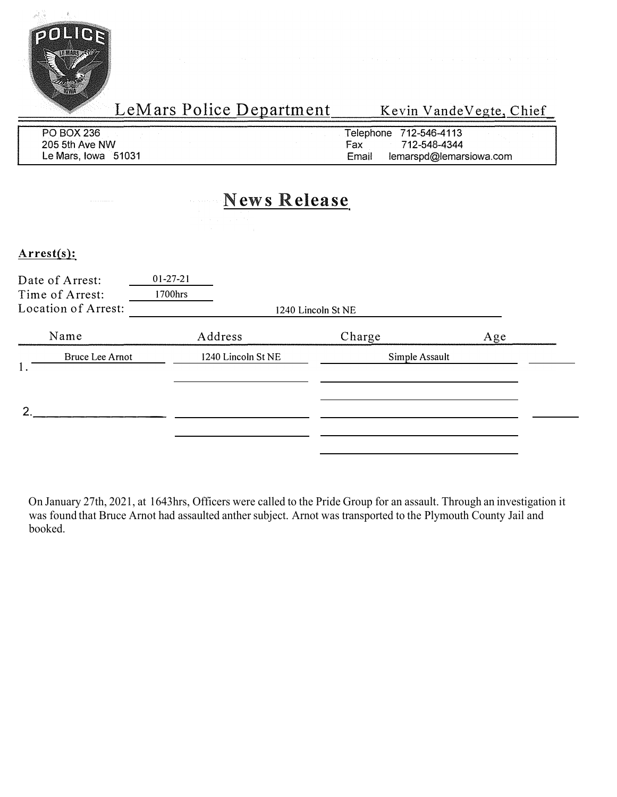

| PO BOX 236          | Telephone 712-546-4113           |
|---------------------|----------------------------------|
| 205 5th Ave NW      | 712-548-4344<br>Fах              |
| Le Mars, Iowa 51031 | lemarspd@lemarsiowa.com<br>Email |

## **News Release**

### **Arrest(s):**

| Date of Arrest:<br>Time of Arrest:<br>Location of Arrest: | $01 - 27 - 21$<br>1700hrs | 1240 Lincoln St NE |     |
|-----------------------------------------------------------|---------------------------|--------------------|-----|
| Name                                                      | Address                   | Charge             | Age |
| Bruce Lee Arnot                                           | 1240 Lincoln St NE        | Simple Assault     |     |
| ົ                                                         |                           |                    |     |

On January 27th, 2021, at 1643hrs, Officers were called to the Pride Group for an assault. Through an investigation it was found that Bruce Arnot had assaulted anther subject. Arnot was transported to the Plymouth County Jail and booked.